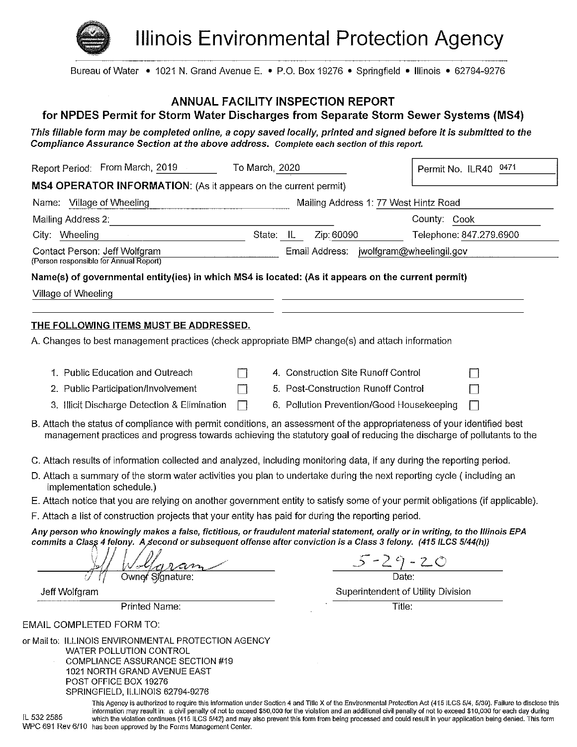

SPRINGFIELD, ILLINOIS 62794-9276

**Illinois Environmental Protection Agency** 

Bureau of Water • 1021 N. Grand Avenue E. • P.O. Box 19276 • Springfield • Illinois • 62794-9276

#### **ANNUAL FACILITY INSPECTION REPORT**

#### for NPDES Permit for Storm Water Discharges from Separate Storm Sewer Systems (MS4)

This fillable form may be completed online, a copy saved locally, printed and signed before it is submitted to the Compliance Assurance Section at the above address. Complete each section of this report.

| Report Period: From March, 2019                                                                                                                                                                                                                      | To March, 2020 |                                           | Permit No. ILR40 0471              |  |
|------------------------------------------------------------------------------------------------------------------------------------------------------------------------------------------------------------------------------------------------------|----------------|-------------------------------------------|------------------------------------|--|
| MS4 OPERATOR INFORMATION: (As it appears on the current permit)                                                                                                                                                                                      |                |                                           |                                    |  |
| Name: Village of Wheeling                                                                                                                                                                                                                            |                | Mailing Address 1: 77 West Hintz Road     |                                    |  |
| Mailing Address 2:                                                                                                                                                                                                                                   |                |                                           | County: Cook                       |  |
| City: Wheeling                                                                                                                                                                                                                                       | State: IL      | Zip: 60090                                | Telephone: 847.279.6900            |  |
| Contact Person: Jeff Wolfgram<br>(Person responsible for Annual Report)                                                                                                                                                                              |                | Email Address: jwolfgram@wheelingil.gov   |                                    |  |
| Name(s) of governmental entity(ies) in which MS4 is located: (As it appears on the current permit)                                                                                                                                                   |                |                                           |                                    |  |
| Village of Wheeling                                                                                                                                                                                                                                  |                |                                           |                                    |  |
| <u>THE FOLLOWING ITEMS MUST BE ADDRESSED.</u><br>A. Changes to best management practices (check appropriate BMP change(s) and attach information                                                                                                     |                |                                           |                                    |  |
| 1. Public Education and Outreach                                                                                                                                                                                                                     |                | 4. Construction Site Runoff Control       |                                    |  |
| 2. Public Participation/Involvement                                                                                                                                                                                                                  |                | 5. Post-Construction Runoff Control       |                                    |  |
| 3. Illicit Discharge Detection & Elimination                                                                                                                                                                                                         | ᄀ              | 6. Pollution Prevention/Good Housekeeping | $\mathbf{I}$                       |  |
| B. Attach the status of compliance with permit conditions, an assessment of the appropriateness of your identified best<br>management practices and progress towards achieving the statutory goal of reducing the discharge of pollutants to the     |                |                                           |                                    |  |
| C. Attach results of information collected and analyzed, including monitoring data, if any during the reporting period.                                                                                                                              |                |                                           |                                    |  |
| D. Attach a summary of the storm water activities you plan to undertake during the next reporting cycle (including an<br>implementation schedule.)                                                                                                   |                |                                           |                                    |  |
| E. Attach notice that you are relying on another government entity to satisfy some of your permit obligations (if applicable).                                                                                                                       |                |                                           |                                    |  |
| F. Attach a list of construction projects that your entity has paid for during the reporting period.                                                                                                                                                 |                |                                           |                                    |  |
| Any person who knowingly makes a false, fictitious, or fraudulent material statement, orally or in writing, to the Illinois EPA<br>commits a Class 4 felony. A second or subsequent offense after conviction is a Class 3 felony. (415 ILCS 5/44(h)) |                |                                           |                                    |  |
|                                                                                                                                                                                                                                                      |                |                                           |                                    |  |
| Owner Signature:                                                                                                                                                                                                                                     |                |                                           | $\frac{5-29-20}{\text{Date}}$      |  |
| Jeff Wolfgram                                                                                                                                                                                                                                        |                |                                           | Superintendent of Utility Division |  |
| Printed Name:                                                                                                                                                                                                                                        |                |                                           | Title:                             |  |
| EMAIL COMPLETED FORM TO:                                                                                                                                                                                                                             |                |                                           |                                    |  |
| or Mail to: ILLINOIS ENVIRONMENTAL PROTECTION AGENCY<br><b>WATER POLLUTION CONTROL</b><br>COMPLIANCE ASSURANCE SECTION #19<br>1021 NORTH GRAND AVENUE EAST<br>POST OFFICE BOX 19276                                                                  |                |                                           |                                    |  |

This Agency is authorized to require this information under Section 4 and Title X of the Environmental Protection Act (415 ILCS 5/4, 5/39). Failure to disclose this information may result in: a civil penalty of not to exceed \$50,000 for the violation and an additional civil penalty of not to exceed \$10,000 for each day during IL 532 2585 which the violation continues (415 ILCS 5/42) and may also prevent this form from being processed and could result in your application being denied. This form WPC 691 Rev 6/10 has been approved by the Forms Management Center.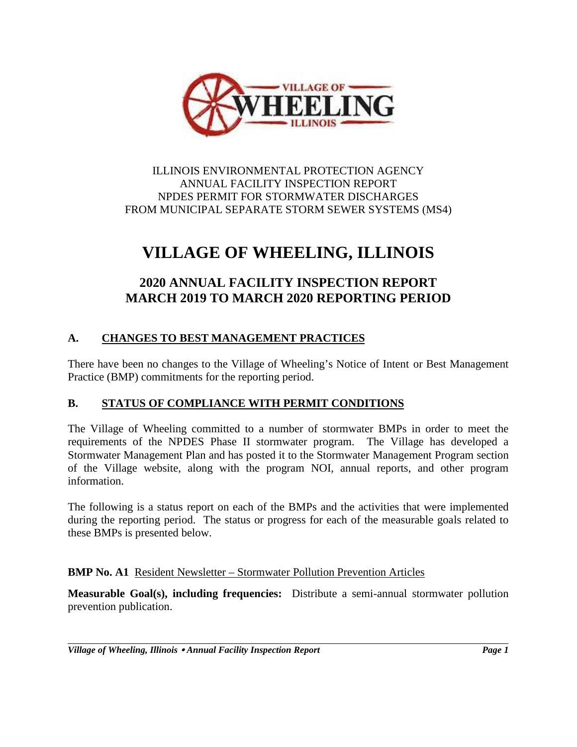

ILLINOIS ENVIRONMENTAL PROTECTION AGENCY ANNUAL FACILITY INSPECTION REPORT NPDES PERMIT FOR STORMWATER DISCHARGES FROM MUNICIPAL SEPARATE STORM SEWER SYSTEMS (MS4)

# **VILLAGE OF WHEELING, ILLINOIS**

# **2020 ANNUAL FACILITY INSPECTION REPORT MARCH 2019 TO MARCH 2020 REPORTING PERIOD**

## **A. CHANGES TO BEST MANAGEMENT PRACTICES**

There have been no changes to the Village of Wheeling's Notice of Intent or Best Management Practice (BMP) commitments for the reporting period.

## **B. STATUS OF COMPLIANCE WITH PERMIT CONDITIONS**

The Village of Wheeling committed to a number of stormwater BMPs in order to meet the requirements of the NPDES Phase II stormwater program. The Village has developed a Stormwater Management Plan and has posted it to the Stormwater Management Program section of the Village website, along with the program NOI, annual reports, and other program information.

The following is a status report on each of the BMPs and the activities that were implemented during the reporting period. The status or progress for each of the measurable goals related to these BMPs is presented below.

## **BMP No. A1** Resident Newsletter – Stormwater Pollution Prevention Articles

**Measurable Goal(s), including frequencies:** Distribute a semi-annual stormwater pollution prevention publication.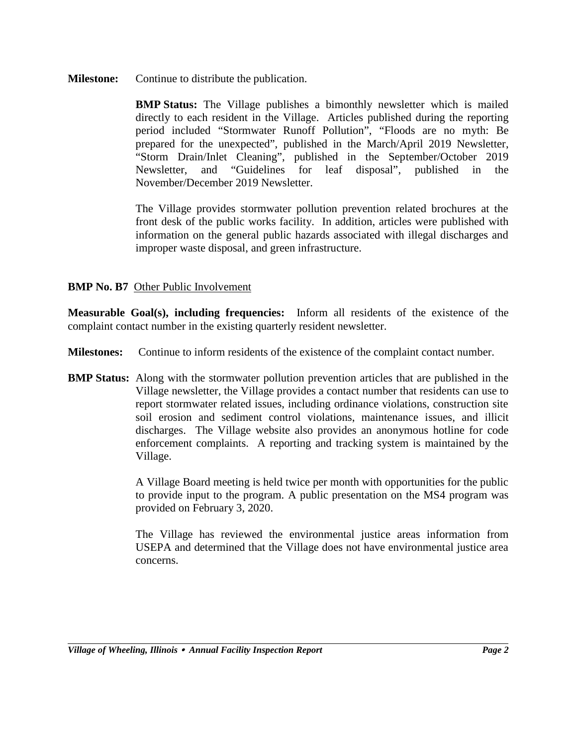**Milestone:** Continue to distribute the publication.

**BMP Status:** The Village publishes a bimonthly newsletter which is mailed directly to each resident in the Village. Articles published during the reporting period included "Stormwater Runoff Pollution", "Floods are no myth: Be prepared for the unexpected", published in the March/April 2019 Newsletter, "Storm Drain/Inlet Cleaning", published in the September/October 2019 Newsletter, and "Guidelines for leaf disposal", published in the November/December 2019 Newsletter.

The Village provides stormwater pollution prevention related brochures at the front desk of the public works facility. In addition, articles were published with information on the general public hazards associated with illegal discharges and improper waste disposal, and green infrastructure.

## **BMP No. B7** Other Public Involvement

**Measurable Goal(s), including frequencies:** Inform all residents of the existence of the complaint contact number in the existing quarterly resident newsletter.

**Milestones:** Continue to inform residents of the existence of the complaint contact number.

**BMP Status:** Along with the stormwater pollution prevention articles that are published in the Village newsletter, the Village provides a contact number that residents can use to report stormwater related issues, including ordinance violations, construction site soil erosion and sediment control violations, maintenance issues, and illicit discharges. The Village website also provides an anonymous hotline for code enforcement complaints. A reporting and tracking system is maintained by the Village.

> A Village Board meeting is held twice per month with opportunities for the public to provide input to the program. A public presentation on the MS4 program was provided on February 3, 2020.

> The Village has reviewed the environmental justice areas information from USEPA and determined that the Village does not have environmental justice area concerns.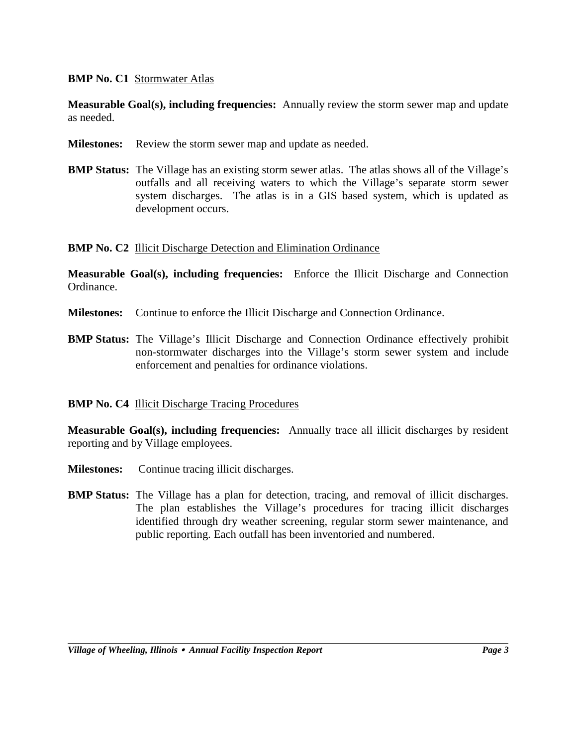## **BMP No. C1** Stormwater Atlas

**Measurable Goal(s), including frequencies:** Annually review the storm sewer map and update as needed.

- **Milestones:** Review the storm sewer map and update as needed.
- **BMP Status:** The Village has an existing storm sewer atlas. The atlas shows all of the Village's outfalls and all receiving waters to which the Village's separate storm sewer system discharges. The atlas is in a GIS based system, which is updated as development occurs.

**BMP No. C2** Illicit Discharge Detection and Elimination Ordinance

**Measurable Goal(s), including frequencies:** Enforce the Illicit Discharge and Connection Ordinance.

- **Milestones:** Continue to enforce the Illicit Discharge and Connection Ordinance.
- **BMP Status:** The Village's Illicit Discharge and Connection Ordinance effectively prohibit non-stormwater discharges into the Village's storm sewer system and include enforcement and penalties for ordinance violations.

#### **BMP No. C4** Illicit Discharge Tracing Procedures

**Measurable Goal(s), including frequencies:** Annually trace all illicit discharges by resident reporting and by Village employees.

- **Milestones:** Continue tracing illicit discharges.
- **BMP Status:** The Village has a plan for detection, tracing, and removal of illicit discharges. The plan establishes the Village's procedures for tracing illicit discharges identified through dry weather screening, regular storm sewer maintenance, and public reporting. Each outfall has been inventoried and numbered.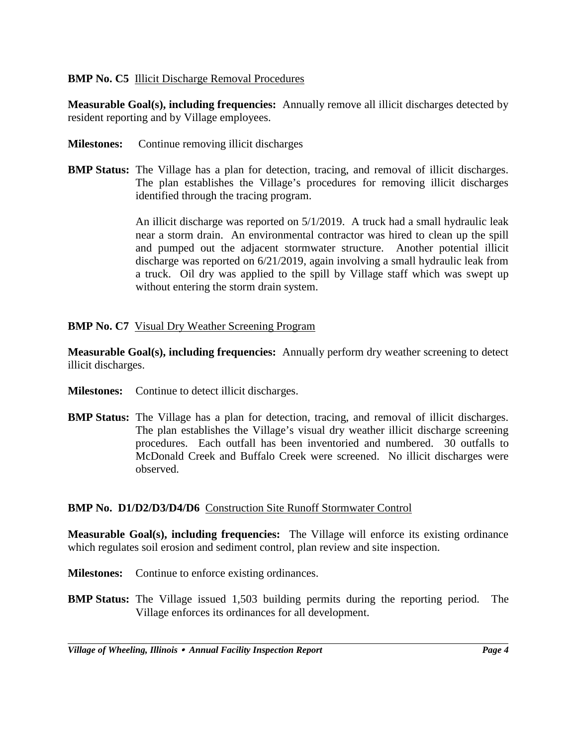## **BMP No. C5** Illicit Discharge Removal Procedures

**Measurable Goal(s), including frequencies:** Annually remove all illicit discharges detected by resident reporting and by Village employees.

- **Milestones:** Continue removing illicit discharges
- **BMP Status:** The Village has a plan for detection, tracing, and removal of illicit discharges. The plan establishes the Village's procedures for removing illicit discharges identified through the tracing program.

An illicit discharge was reported on 5/1/2019. A truck had a small hydraulic leak near a storm drain. An environmental contractor was hired to clean up the spill and pumped out the adjacent stormwater structure. Another potential illicit discharge was reported on 6/21/2019, again involving a small hydraulic leak from a truck. Oil dry was applied to the spill by Village staff which was swept up without entering the storm drain system.

## **BMP No. C7** Visual Dry Weather Screening Program

**Measurable Goal(s), including frequencies:** Annually perform dry weather screening to detect illicit discharges.

- **Milestones:** Continue to detect illicit discharges.
- **BMP Status:** The Village has a plan for detection, tracing, and removal of illicit discharges. The plan establishes the Village's visual dry weather illicit discharge screening procedures. Each outfall has been inventoried and numbered. 30 outfalls to McDonald Creek and Buffalo Creek were screened. No illicit discharges were observed.

## **BMP No. D1/D2/D3/D4/D6** Construction Site Runoff Stormwater Control

**Measurable Goal(s), including frequencies:** The Village will enforce its existing ordinance which regulates soil erosion and sediment control, plan review and site inspection.

- **Milestones:** Continue to enforce existing ordinances.
- **BMP Status:** The Village issued 1,503 building permits during the reporting period. The Village enforces its ordinances for all development.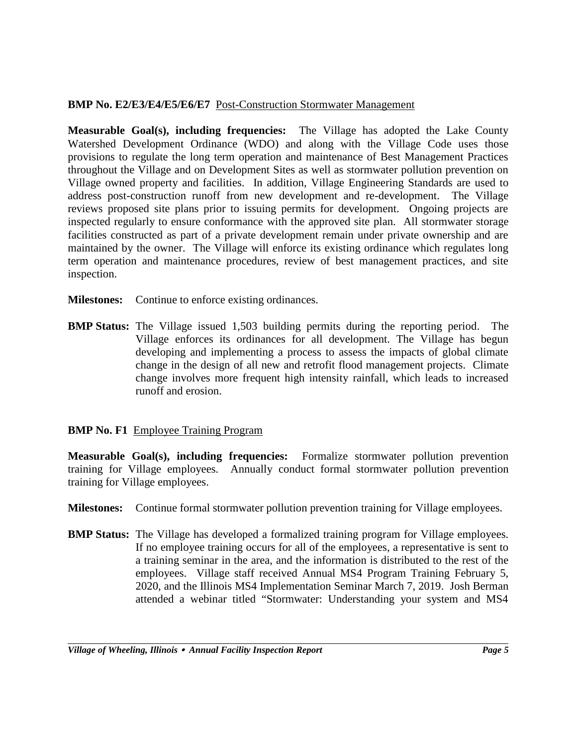## **BMP No. E2/E3/E4/E5/E6/E7** Post-Construction Stormwater Management

**Measurable Goal(s), including frequencies:** The Village has adopted the Lake County Watershed Development Ordinance (WDO) and along with the Village Code uses those provisions to regulate the long term operation and maintenance of Best Management Practices throughout the Village and on Development Sites as well as stormwater pollution prevention on Village owned property and facilities. In addition, Village Engineering Standards are used to address post-construction runoff from new development and re-development. The Village reviews proposed site plans prior to issuing permits for development. Ongoing projects are inspected regularly to ensure conformance with the approved site plan. All stormwater storage facilities constructed as part of a private development remain under private ownership and are maintained by the owner. The Village will enforce its existing ordinance which regulates long term operation and maintenance procedures, review of best management practices, and site inspection.

- **Milestones:** Continue to enforce existing ordinances.
- **BMP Status:** The Village issued 1,503 building permits during the reporting period. The Village enforces its ordinances for all development. The Village has begun developing and implementing a process to assess the impacts of global climate change in the design of all new and retrofit flood management projects. Climate change involves more frequent high intensity rainfall, which leads to increased runoff and erosion.

## **BMP No. F1** Employee Training Program

**Measurable Goal(s), including frequencies:** Formalize stormwater pollution prevention training for Village employees. Annually conduct formal stormwater pollution prevention training for Village employees.

- **Milestones:** Continue formal stormwater pollution prevention training for Village employees.
- **BMP Status:** The Village has developed a formalized training program for Village employees. If no employee training occurs for all of the employees, a representative is sent to a training seminar in the area, and the information is distributed to the rest of the employees. Village staff received Annual MS4 Program Training February 5, 2020, and the Illinois MS4 Implementation Seminar March 7, 2019. Josh Berman attended a webinar titled "Stormwater: Understanding your system and MS4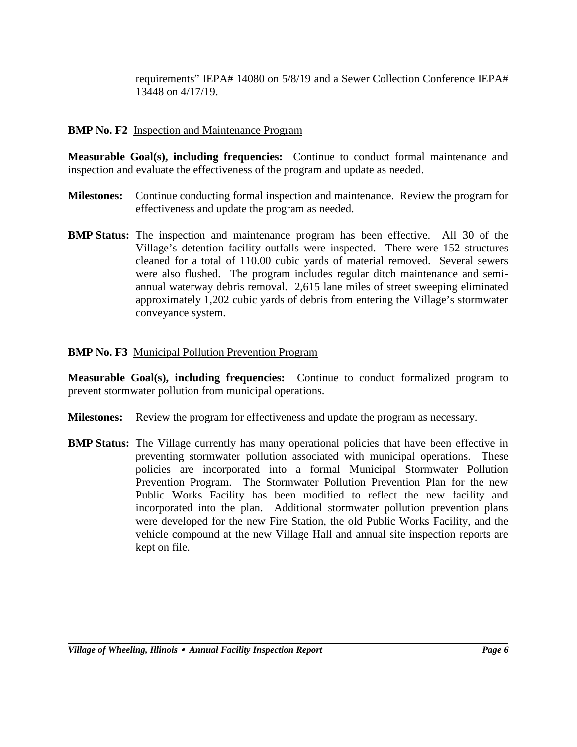requirements" IEPA# 14080 on 5/8/19 and a Sewer Collection Conference IEPA# 13448 on 4/17/19.

### **BMP No. F2** Inspection and Maintenance Program

**Measurable Goal(s), including frequencies:** Continue to conduct formal maintenance and inspection and evaluate the effectiveness of the program and update as needed.

- **Milestones:** Continue conducting formal inspection and maintenance. Review the program for effectiveness and update the program as needed.
- **BMP Status:** The inspection and maintenance program has been effective. All 30 of the Village's detention facility outfalls were inspected. There were 152 structures cleaned for a total of 110.00 cubic yards of material removed. Several sewers were also flushed. The program includes regular ditch maintenance and semi annual waterway debris removal. 2,615 lane miles of street sweeping eliminated approximately 1,202 cubic yards of debris from entering the Village's stormwater conveyance system.

### **BMP No. F3** Municipal Pollution Prevention Program

**Measurable Goal(s), including frequencies:** Continue to conduct formalized program to prevent stormwater pollution from municipal operations.

- **Milestones:** Review the program for effectiveness and update the program as necessary.
- **BMP Status:** The Village currently has many operational policies that have been effective in preventing stormwater pollution associated with municipal operations. These policies are incorporated into a formal Municipal Stormwater Pollution Prevention Program. The Stormwater Pollution Prevention Plan for the new Public Works Facility has been modified to reflect the new facility and incorporated into the plan. Additional stormwater pollution prevention plans were developed for the new Fire Station, the old Public Works Facility, and the vehicle compound at the new Village Hall and annual site inspection reports are kept on file.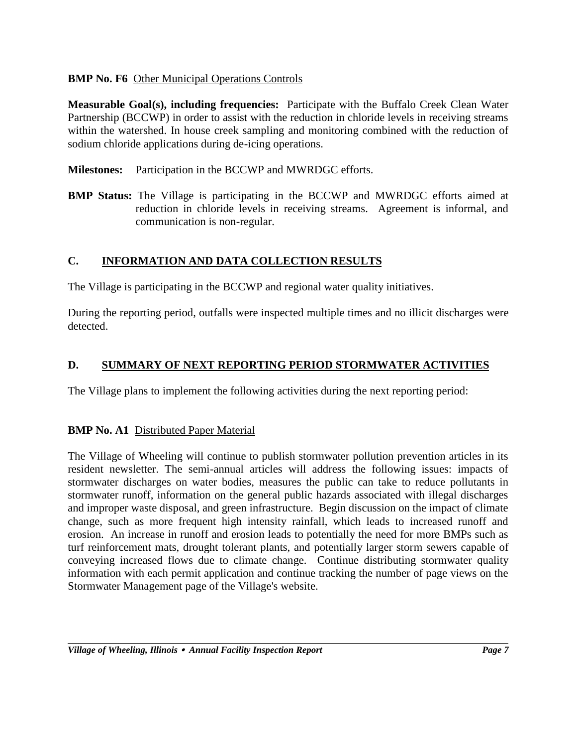## **BMP No. F6** Other Municipal Operations Controls

**Measurable Goal(s), including frequencies:** Participate with the Buffalo Creek Clean Water Partnership (BCCWP) in order to assist with the reduction in chloride levels in receiving streams within the watershed. In house creek sampling and monitoring combined with the reduction of sodium chloride applications during de-icing operations.

- **Milestones:** Participation in the BCCWP and MWRDGC efforts.
- **BMP Status:** The Village is participating in the BCCWP and MWRDGC efforts aimed at reduction in chloride levels in receiving streams. Agreement is informal, and communication is non-regular.

## **C. INFORMATION AND DATA COLLECTION RESULTS**

The Village is participating in the BCCWP and regional water quality initiatives.

During the reporting period, outfalls were inspected multiple times and no illicit discharges were detected.

## **D. SUMMARY OF NEXT REPORTING PERIOD STORMWATER ACTIVITIES**

The Village plans to implement the following activities during the next reporting period:

## **BMP No. A1** Distributed Paper Material

The Village of Wheeling will continue to publish stormwater pollution prevention articles in its resident newsletter. The semi-annual articles will address the following issues: impacts of stormwater discharges on water bodies, measures the public can take to reduce pollutants in stormwater runoff, information on the general public hazards associated with illegal discharges and improper waste disposal, and green infrastructure. Begin discussion on the impact of climate change, such as more frequent high intensity rainfall, which leads to increased runoff and erosion. An increase in runoff and erosion leads to potentially the need for more BMPs such as turf reinforcement mats, drought tolerant plants, and potentially larger storm sewers capable of conveying increased flows due to climate change. Continue distributing stormwater quality information with each permit application and continue tracking the number of page views on the Stormwater Management page of the Village's website.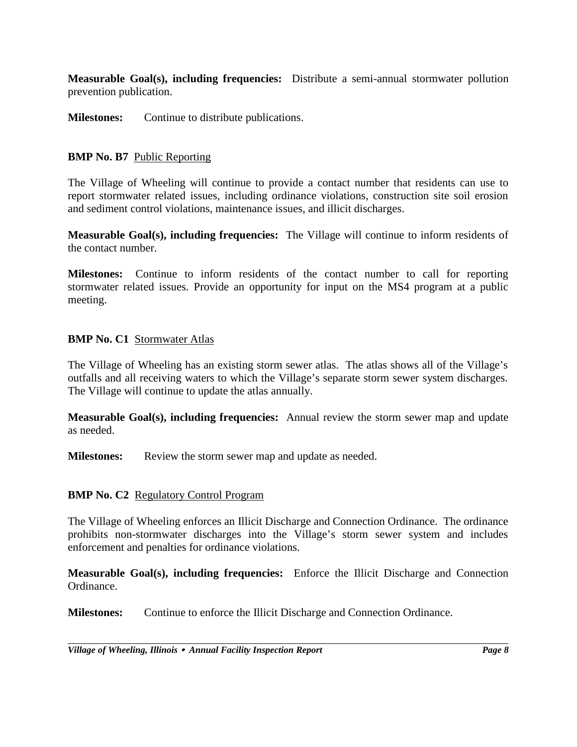**Measurable Goal(s), including frequencies:** Distribute a semi-annual stormwater pollution prevention publication.

**Milestones:** Continue to distribute publications.

### **BMP No. B7** Public Reporting

The Village of Wheeling will continue to provide a contact number that residents can use to report stormwater related issues, including ordinance violations, construction site soil erosion and sediment control violations, maintenance issues, and illicit discharges.

**Measurable Goal(s), including frequencies:** The Village will continue to inform residents of the contact number.

**Milestones:** Continue to inform residents of the contact number to call for reporting stormwater related issues. Provide an opportunity for input on the MS4 program at a public meeting.

#### **BMP No. C1** Stormwater Atlas

The Village of Wheeling has an existing storm sewer atlas. The atlas shows all of the Village's outfalls and all receiving waters to which the Village's separate storm sewer system discharges. The Village will continue to update the atlas annually.

**Measurable Goal(s), including frequencies:** Annual review the storm sewer map and update as needed.

**Milestones:** Review the storm sewer map and update as needed.

#### **BMP No. C2** Regulatory Control Program

The Village of Wheeling enforces an Illicit Discharge and Connection Ordinance. The ordinance prohibits non-stormwater discharges into the Village's storm sewer system and includes enforcement and penalties for ordinance violations.

**Measurable Goal(s), including frequencies:** Enforce the Illicit Discharge and Connection Ordinance.

**Milestones:** Continue to enforce the Illicit Discharge and Connection Ordinance.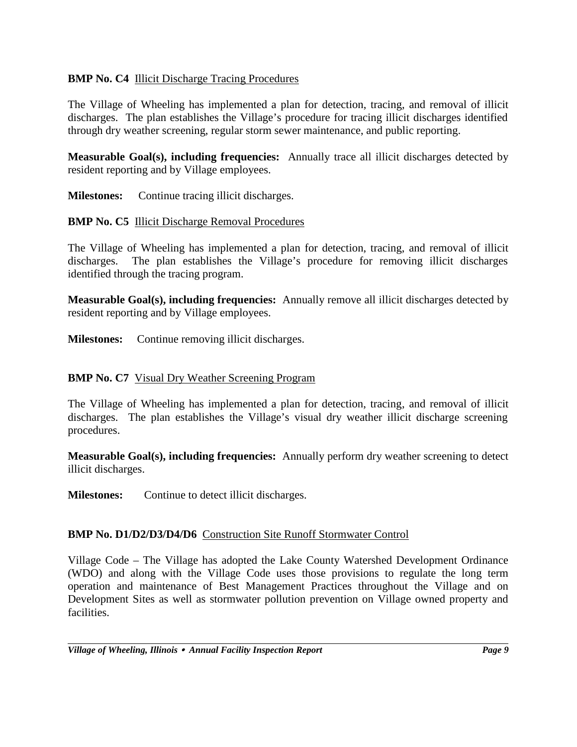## **BMP No. C4** Illicit Discharge Tracing Procedures

The Village of Wheeling has implemented a plan for detection, tracing, and removal of illicit discharges. The plan establishes the Village's procedure for tracing illicit discharges identified through dry weather screening, regular storm sewer maintenance, and public reporting.

**Measurable Goal(s), including frequencies:** Annually trace all illicit discharges detected by resident reporting and by Village employees.

**Milestones:** Continue tracing illicit discharges.

### **BMP No. C5** Illicit Discharge Removal Procedures

The Village of Wheeling has implemented a plan for detection, tracing, and removal of illicit discharges. The plan establishes the Village's procedure for removing illicit discharges identified through the tracing program.

**Measurable Goal(s), including frequencies:** Annually remove all illicit discharges detected by resident reporting and by Village employees.

**Milestones:** Continue removing illicit discharges.

## **BMP No. C7** Visual Dry Weather Screening Program

The Village of Wheeling has implemented a plan for detection, tracing, and removal of illicit discharges. The plan establishes the Village's visual dry weather illicit discharge screening procedures.

**Measurable Goal(s), including frequencies:** Annually perform dry weather screening to detect illicit discharges.

**Milestones:** Continue to detect illicit discharges.

## **BMP No. D1/D2/D3/D4/D6** Construction Site Runoff Stormwater Control

Village Code – The Village has adopted the Lake County Watershed Development Ordinance (WDO) and along with the Village Code uses those provisions to regulate the long term operation and maintenance of Best Management Practices throughout the Village and on Development Sites as well as stormwater pollution prevention on Village owned property and facilities.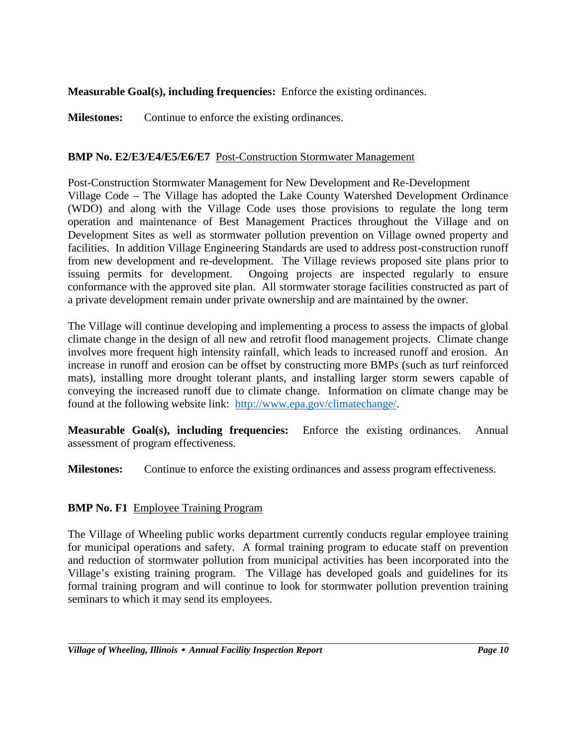## **Measurable Goal(s), including frequencies:** Enforce the existing ordinances.

**Milestones:** Continue to enforce the existing ordinances.

## **BMP No. E2/E3/E4/E5/E6/E7** Post-Construction Stormwater Management

Post-Construction Stormwater Management for New Development and Re-Development Village Code – The Village has adopted the Lake County Watershed Development Ordinance (WDO) and along with the Village Code uses those provisions to regulate the long term operation and maintenance of Best Management Practices throughout the Village and on Development Sites as well as stormwater pollution prevention on Village owned property and facilities. In addition Village Engineering Standards are used to address post-construction runoff from new development and re-development. The Village reviews proposed site plans prior to issuing permits for development. Ongoing projects are inspected regularly to ensure conformance with the approved site plan. All stormwater storage facilities constructed as part of a private development remain under private ownership and are maintained by the owner.

The Village will continue developing and implementing a process to assess the impacts of global climate change in the design of all new and retrofit flood management projects. Climate change involves more frequent high intensity rainfall, which leads to increased runoff and erosion. An increase in runoff and erosion can be offset by constructing more BMPs (such as turf reinforced mats), installing more drought tolerant plants, and installing larger storm sewers capable of conveying the increased runoff due to climate change. Information on climate change may be found at the following website link: http://www.epa.gov/climatechange/.

**Measurable Goal(s), including frequencies:** Enforce the existing ordinances. Annual assessment of program effectiveness.

**Milestones:** Continue to enforce the existing ordinances and assess program effectiveness.

## **BMP No. F1** Employee Training Program

The Village of Wheeling public works department currently conducts regular employee training for municipal operations and safety. A formal training program to educate staff on prevention and reduction of stormwater pollution from municipal activities has been incorporated into the Village's existing training program. The Village has developed goals and guidelines for its formal training program and will continue to look for stormwater pollution prevention training seminars to which it may send its employees.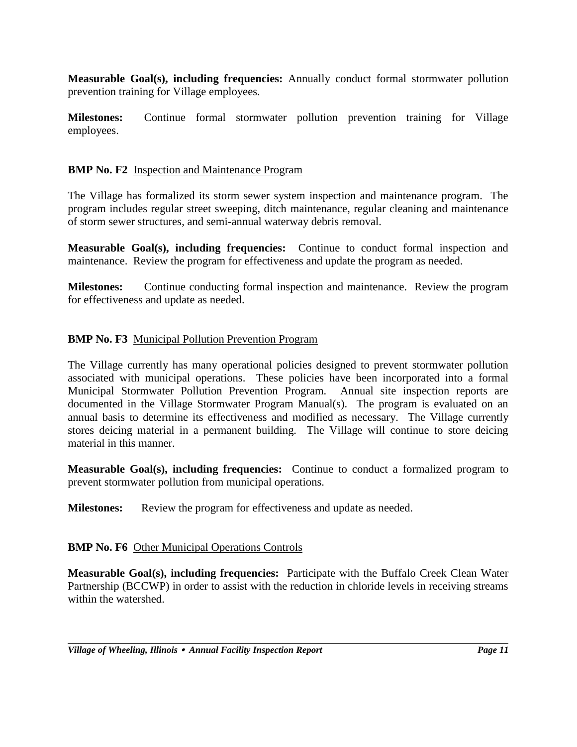**Measurable Goal(s), including frequencies:** Annually conduct formal stormwater pollution prevention training for Village employees.

**Milestones:** Continue formal stormwater pollution prevention training for Village employees.

## **BMP No. F2** Inspection and Maintenance Program

The Village has formalized its storm sewer system inspection and maintenance program. The program includes regular street sweeping, ditch maintenance, regular cleaning and maintenance of storm sewer structures, and semi-annual waterway debris removal.

**Measurable Goal(s), including frequencies:** Continue to conduct formal inspection and maintenance. Review the program for effectiveness and update the program as needed.

**Milestones:** Continue conducting formal inspection and maintenance. Review the program for effectiveness and update as needed.

### **BMP No. F3** Municipal Pollution Prevention Program

The Village currently has many operational policies designed to prevent stormwater pollution associated with municipal operations. These policies have been incorporated into a formal Municipal Stormwater Pollution Prevention Program. Annual site inspection reports are documented in the Village Stormwater Program Manual(s). The program is evaluated on an annual basis to determine its effectiveness and modified as necessary. The Village currently stores deicing material in a permanent building. The Village will continue to store deicing material in this manner.

**Measurable Goal(s), including frequencies:** Continue to conduct a formalized program to prevent stormwater pollution from municipal operations.

**Milestones:** Review the program for effectiveness and update as needed.

#### **BMP No. F6** Other Municipal Operations Controls

**Measurable Goal(s), including frequencies:** Participate with the Buffalo Creek Clean Water Partnership (BCCWP) in order to assist with the reduction in chloride levels in receiving streams within the watershed.